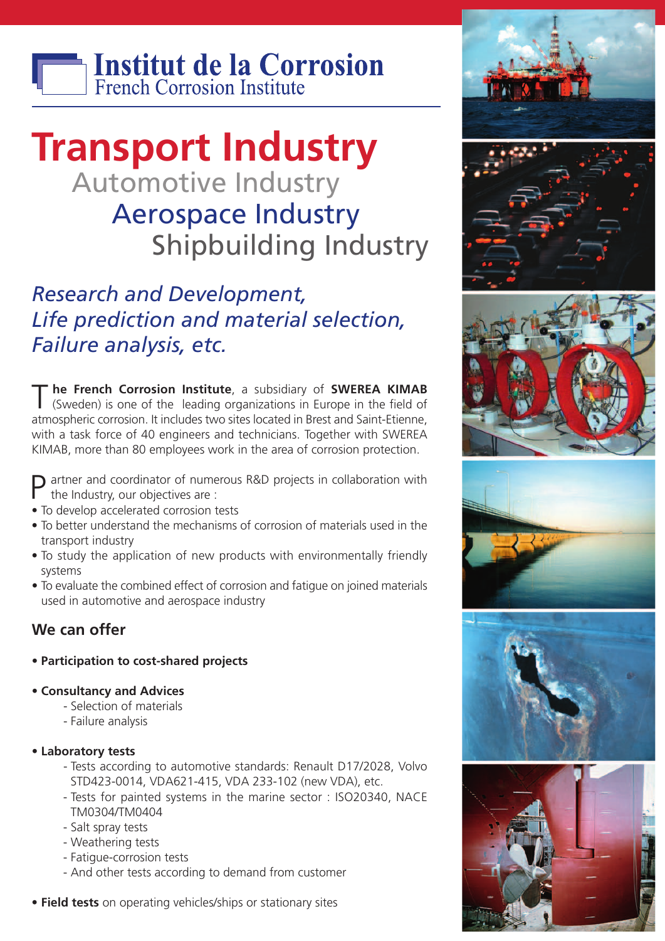

## **Transport Industry** Automotive Industry Aerospace Industry Shipbuilding Industry

### *Research and Development, Life prediction and material selection, Failure analysis, etc.*

T **he French Corrosion Institute**, <sup>a</sup> subsidiary of **SWEREA KIMAB** (Sweden) is one of the leading organizations in Europe in the field of atmospheric corrosion. It includes two sites located in Brest and Saint-Etienne, with a task force of 40 engineers and technicians. Together with SWEREA KIMAB, more than 80 employees work in the area of corrosion protection.

 $\square$  artner and coordinator of numerous R&D projects in collaboration with the Industry, our objectives are :

- To develop accelerated corrosion tests
- To better understand the mechanisms of corrosion of materials used in the transport industry
- To study the application of new products with environmentally friendly systems
- To evaluate the combined effect of corrosion and fatigue on joined materials used in automotive and aerospace industry

#### **We can offer**

- **• Participation to cost-shared projects**
- **• Consultancy and Advices**
	- Selection of materials
	- Failure analysis
- **• Laboratory tests**
	- Tests according to automotive standards: Renault D17/2028, Volvo STD423-0014, VDA621-415, VDA 233-102 (new VDA), etc.
	- Tests for painted systems in the marine sector : ISO20340, NACE TM0304/TM0404
	- Salt spray tests
	- Weathering tests
	- Fatigue-corrosion tests
	- And other tests according to demand from customer
- **• Field tests** on operating vehicles/ships or stationary sites